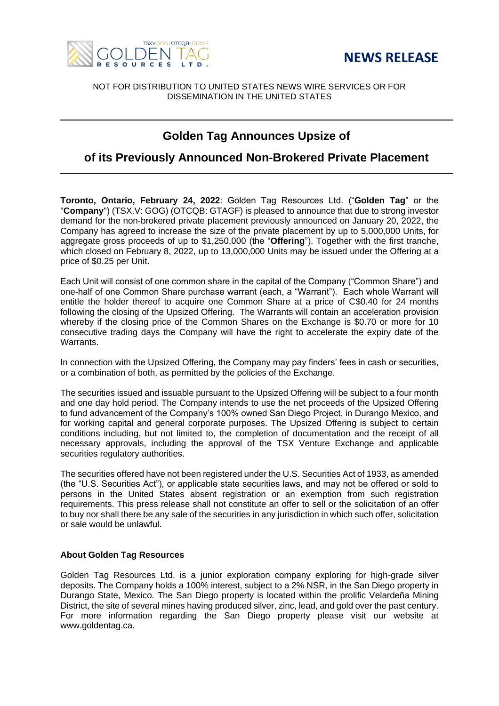



NOT FOR DISTRIBUTION TO UNITED STATES NEWS WIRE SERVICES OR FOR DISSEMINATION IN THE UNITED STATES

# **Golden Tag Announces Upsize of**

## **of its Previously Announced Non-Brokered Private Placement**

**Toronto, Ontario, February 24, 2022**: Golden Tag Resources Ltd. ("**Golden Tag**" or the "**Company**") (TSX.V: GOG) (OTCQB: GTAGF) is pleased to announce that due to strong investor demand for the non-brokered private placement previously announced on January 20, 2022, the Company has agreed to increase the size of the private placement by up to 5,000,000 Units, for aggregate gross proceeds of up to \$1,250,000 (the "**Offering**"). Together with the first tranche, which closed on February 8, 2022, up to 13,000,000 Units may be issued under the Offering at a price of \$0.25 per Unit.

Each Unit will consist of one common share in the capital of the Company ("Common Share") and one-half of one Common Share purchase warrant (each, a "Warrant"). Each whole Warrant will entitle the holder thereof to acquire one Common Share at a price of C\$0.40 for 24 months following the closing of the Upsized Offering. The Warrants will contain an acceleration provision whereby if the closing price of the Common Shares on the Exchange is \$0.70 or more for 10 consecutive trading days the Company will have the right to accelerate the expiry date of the Warrants.

In connection with the Upsized Offering, the Company may pay finders' fees in cash or securities, or a combination of both, as permitted by the policies of the Exchange.

The securities issued and issuable pursuant to the Upsized Offering will be subject to a four month and one day hold period. The Company intends to use the net proceeds of the Upsized Offering to fund advancement of the Company's 100% owned San Diego Project, in Durango Mexico, and for working capital and general corporate purposes. The Upsized Offering is subject to certain conditions including, but not limited to, the completion of documentation and the receipt of all necessary approvals, including the approval of the TSX Venture Exchange and applicable securities regulatory authorities.

The securities offered have not been registered under the U.S. Securities Act of 1933, as amended (the "U.S. Securities Act"), or applicable state securities laws, and may not be offered or sold to persons in the United States absent registration or an exemption from such registration requirements. This press release shall not constitute an offer to sell or the solicitation of an offer to buy nor shall there be any sale of the securities in any jurisdiction in which such offer, solicitation or sale would be unlawful.

## **About Golden Tag Resources**

Golden Tag Resources Ltd. is a junior exploration company exploring for high-grade silver deposits. The Company holds a 100% interest, subject to a 2% NSR, in the San Diego property in Durango State, Mexico. The San Diego property is located within the prolific Velardeña Mining District, the site of several mines having produced silver, zinc, lead, and gold over the past century. For more information regarding the San Diego property please visit our website at www.goldentag.ca.